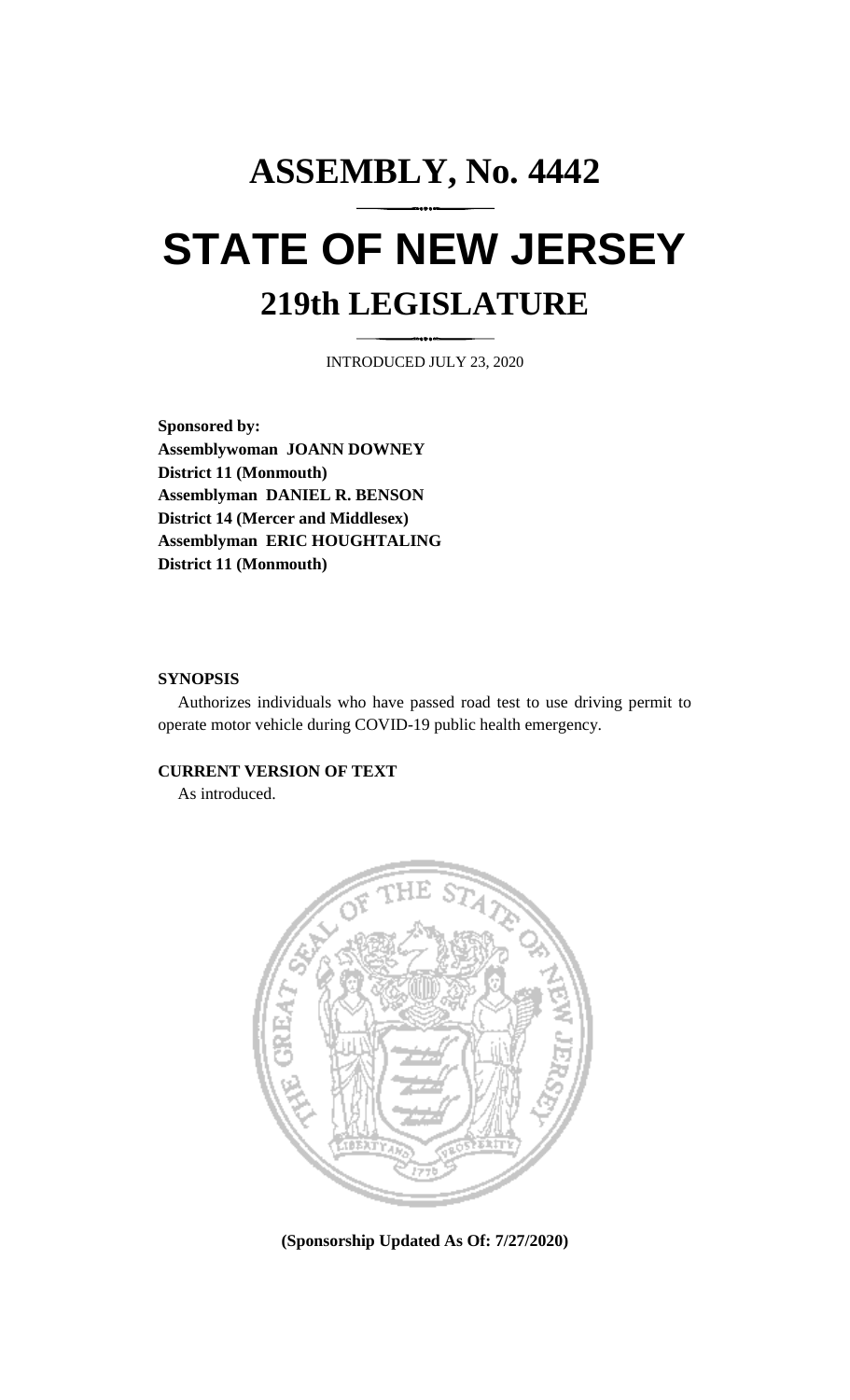# **ASSEMBLY, No. 4442 STATE OF NEW JERSEY 219th LEGISLATURE**

INTRODUCED JULY 23, 2020

**Sponsored by: Assemblywoman JOANN DOWNEY District 11 (Monmouth) Assemblyman DANIEL R. BENSON District 14 (Mercer and Middlesex) Assemblyman ERIC HOUGHTALING District 11 (Monmouth)**

#### **SYNOPSIS**

Authorizes individuals who have passed road test to use driving permit to operate motor vehicle during COVID-19 public health emergency.

### **CURRENT VERSION OF TEXT**

As introduced.



**(Sponsorship Updated As Of: 7/27/2020)**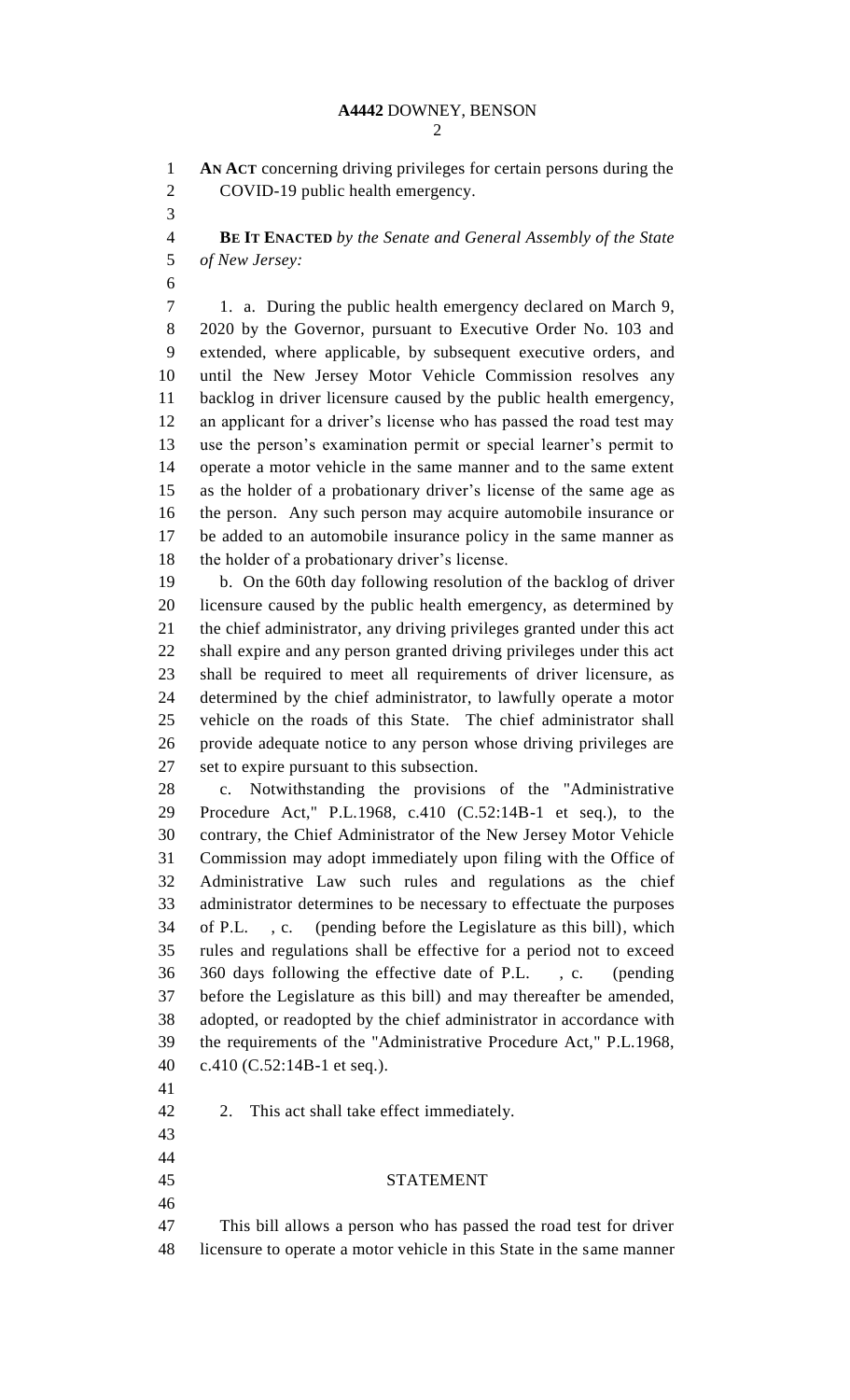**AN ACT** concerning driving privileges for certain persons during the COVID-19 public health emergency.

 **BE IT ENACTED** *by the Senate and General Assembly of the State of New Jersey:*

7 1. a. During the public health emergency declared on March 9, 2020 by the Governor, pursuant to Executive Order No. 103 and extended, where applicable, by subsequent executive orders, and until the New Jersey Motor Vehicle Commission resolves any backlog in driver licensure caused by the public health emergency, an applicant for a driver's license who has passed the road test may use the person's examination permit or special learner's permit to operate a motor vehicle in the same manner and to the same extent as the holder of a probationary driver's license of the same age as the person. Any such person may acquire automobile insurance or be added to an automobile insurance policy in the same manner as the holder of a probationary driver's license.

 b. On the 60th day following resolution of the backlog of driver licensure caused by the public health emergency, as determined by the chief administrator, any driving privileges granted under this act shall expire and any person granted driving privileges under this act shall be required to meet all requirements of driver licensure, as determined by the chief administrator, to lawfully operate a motor vehicle on the roads of this State. The chief administrator shall provide adequate notice to any person whose driving privileges are set to expire pursuant to this subsection.

 c. Notwithstanding the provisions of the "Administrative Procedure Act," P.L.1968, c.410 (C.52:14B-1 et seq.), to the contrary, the Chief Administrator of the New Jersey Motor Vehicle Commission may adopt immediately upon filing with the Office of Administrative Law such rules and regulations as the chief administrator determines to be necessary to effectuate the purposes of P.L. , c. (pending before the Legislature as this bill), which rules and regulations shall be effective for a period not to exceed 360 days following the effective date of P.L. , c. (pending before the Legislature as this bill) and may thereafter be amended, adopted, or readopted by the chief administrator in accordance with the requirements of the "Administrative Procedure Act," P.L.1968, c.410 (C.52:14B-1 et seq.).

 

2. This act shall take effect immediately.

## STATEMENT

 This bill allows a person who has passed the road test for driver licensure to operate a motor vehicle in this State in the same manner